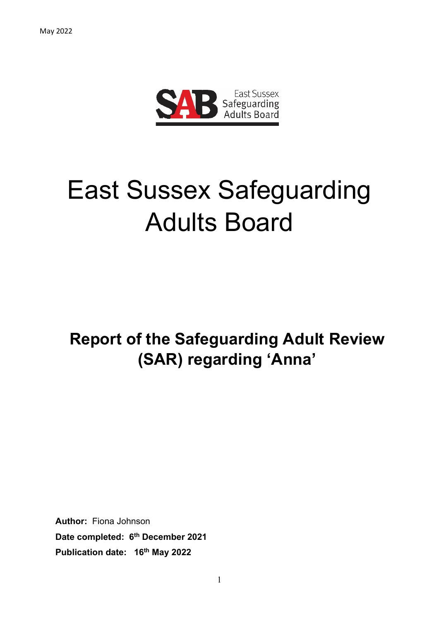

# East Sussex Safeguarding Adults Board

## **Report of the Safeguarding Adult Review (SAR) regarding 'Anna'**

**Author:** Fiona Johnson **Date completed: 6 th December 2021 Publication date: 16th May 2022**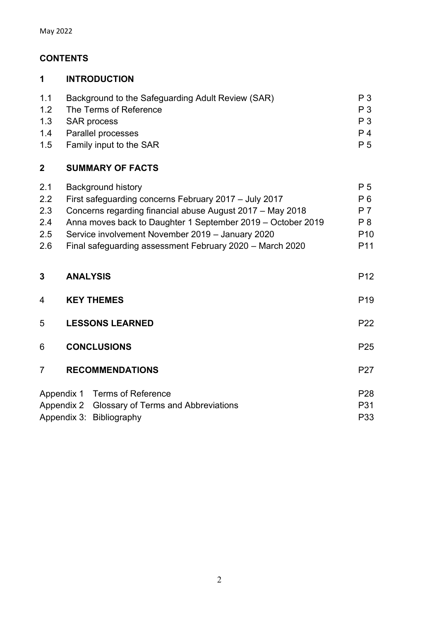## **CONTENTS**

#### **1 INTRODUCTION**

| 1.1 | Background to the Safeguarding Adult Review (SAR) | P <sub>3</sub> |
|-----|---------------------------------------------------|----------------|
| 1.2 | The Terms of Reference                            | P <sub>3</sub> |
|     | 1.3 SAR process                                   | P 3            |
|     | 1.4 Parallel processes                            | P 4            |
|     | 1.5 Family input to the SAR                       | P 5            |

## **2 SUMMARY OF FACTS**

| $2.1\,$ | <b>Background history</b>                                   | P 5             |
|---------|-------------------------------------------------------------|-----------------|
| $2.2\,$ | First safeguarding concerns February 2017 - July 2017       | P 6             |
| 2.3     | Concerns regarding financial abuse August 2017 - May 2018   | P 7             |
| 2.4     | Anna moves back to Daughter 1 September 2019 – October 2019 | P <sub>8</sub>  |
| 2.5     | Service involvement November 2019 - January 2020            | P <sub>10</sub> |
| 2.6     | Final safeguarding assessment February 2020 – March 2020    | P <sub>11</sub> |
|         |                                                             |                 |

| 3              | <b>ANALYSIS</b>        |                                                |                 |
|----------------|------------------------|------------------------------------------------|-----------------|
| $\overline{4}$ | <b>KEY THEMES</b>      |                                                |                 |
| 5              | <b>LESSONS LEARNED</b> |                                                |                 |
| 6              |                        | <b>CONCLUSIONS</b>                             | P <sub>25</sub> |
| $\overline{7}$ |                        | <b>RECOMMENDATIONS</b>                         | P <sub>27</sub> |
|                |                        | Appendix 1 Terms of Reference                  | P <sub>28</sub> |
|                |                        | Appendix 2 Glossary of Terms and Abbreviations | P31             |
|                |                        | Appendix 3: Bibliography                       | P33             |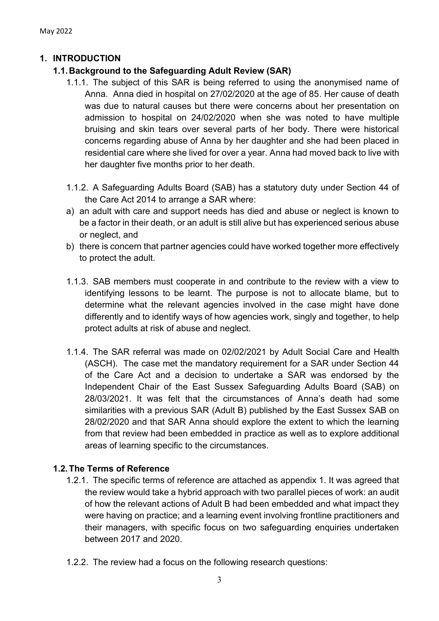#### **1. INTRODUCTION**

#### **1.1.Background to the Safeguarding Adult Review (SAR)**

- 1.1.1. The subject of this SAR is being referred to using the anonymised name of Anna. Anna died in hospital on 27/02/2020 at the age of 85. Her cause of death was due to natural causes but there were concerns about her presentation on admission to hospital on 24/02/2020 when she was noted to have multiple bruising and skin tears over several parts of her body. There were historical concerns regarding abuse of Anna by her daughter and she had been placed in residential care where she lived for over a year. Anna had moved back to live with her daughter five months prior to her death.
- 1.1.2. A Safeguarding Adults Board (SAB) has a statutory duty under Section 44 of the Care Act 2014 to arrange a SAR where:
- a) an adult with care and support needs has died and abuse or neglect is known to be a factor in their death, or an adult is still alive but has experienced serious abuse or neglect, and
- b) there is concern that partner agencies could have worked together more effectively to protect the adult.
- 1.1.3. SAB members must cooperate in and contribute to the review with a view to identifying lessons to be learnt. The purpose is not to allocate blame, but to determine what the relevant agencies involved in the case might have done differently and to identify ways of how agencies work, singly and together, to help protect adults at risk of abuse and neglect.
- 1.1.4. The SAR referral was made on 02/02/2021 by Adult Social Care and Health (ASCH). The case met the mandatory requirement for a SAR under Section 44 of the Care Act and a decision to undertake a SAR was endorsed by the Independent Chair of the East Sussex Safeguarding Adults Board (SAB) on 28/03/2021. It was felt that the circumstances of Anna's death had some similarities with a previous SAR (Adult B) published by the East Sussex SAB on 28/02/2020 and that SAR Anna should explore the extent to which the learning from that review had been embedded in practice as well as to explore additional areas of learning specific to the circumstances.

#### **1.2.The Terms of Reference**

- 1.2.1. The specific terms of reference are attached as appendix 1. It was agreed that the review would take a hybrid approach with two parallel pieces of work: an audit of how the relevant actions of Adult B had been embedded and what impact they were having on practice; and a learning event involving frontline practitioners and their managers, with specific focus on two safeguarding enquiries undertaken between 2017 and 2020.
- 1.2.2. The review had a focus on the following research questions: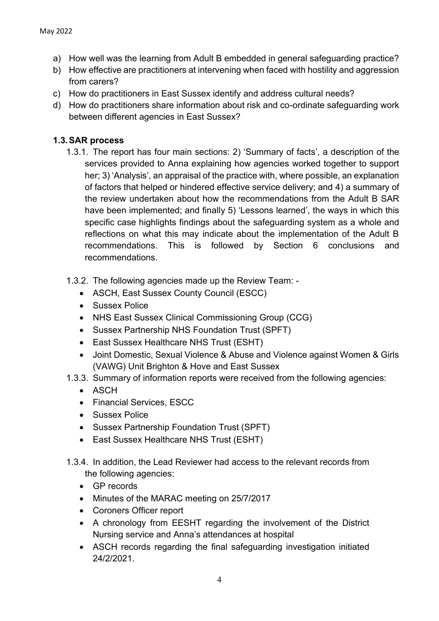- a) How well was the learning from Adult B embedded in general safeguarding practice?
- b) How effective are practitioners at intervening when faced with hostility and aggression from carers?
- c) How do practitioners in East Sussex identify and address cultural needs?
- d) How do practitioners share information about risk and co-ordinate safeguarding work between different agencies in East Sussex?

#### **1.3.SAR process**

- 1.3.1. The report has four main sections: 2) 'Summary of facts', a description of the services provided to Anna explaining how agencies worked together to support her; 3) 'Analysis', an appraisal of the practice with, where possible, an explanation of factors that helped or hindered effective service delivery; and 4) a summary of the review undertaken about how the recommendations from the Adult B SAR have been implemented; and finally 5) 'Lessons learned', the ways in which this specific case highlights findings about the safeguarding system as a whole and reflections on what this may indicate about the implementation of the Adult B recommendations. This is followed by Section 6 conclusions and recommendations.
- 1.3.2. The following agencies made up the Review Team:
	- ASCH, East Sussex County Council (ESCC)
	- Sussex Police
	- NHS East Sussex Clinical Commissioning Group (CCG)
	- Sussex Partnership NHS Foundation Trust (SPFT)
	- East Sussex Healthcare NHS Trust (ESHT)
	- Joint Domestic, Sexual Violence & Abuse and Violence against Women & Girls (VAWG) Unit Brighton & Hove and East Sussex
- 1.3.3. Summary of information reports were received from the following agencies:
	- ASCH
	- Financial Services, ESCC
	- Sussex Police
	- Sussex Partnership Foundation Trust (SPFT)
	- East Sussex Healthcare NHS Trust (ESHT)
- 1.3.4. In addition, the Lead Reviewer had access to the relevant records from the following agencies:
	- GP records
	- Minutes of the MARAC meeting on 25/7/2017
	- Coroners Officer report
	- A chronology from EESHT regarding the involvement of the District Nursing service and Anna's attendances at hospital
	- ASCH records regarding the final safeguarding investigation initiated 24/2/2021.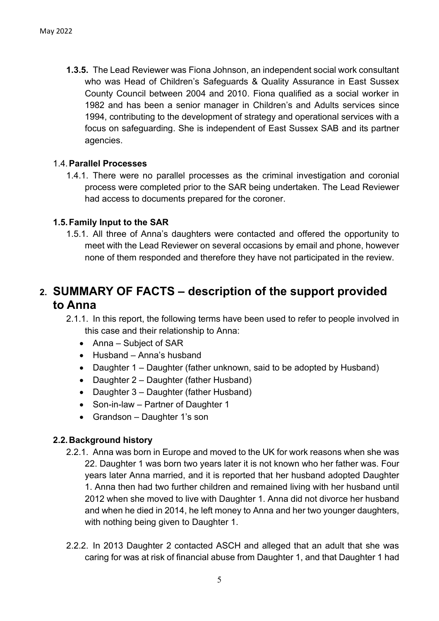**1.3.5.** The Lead Reviewer was Fiona Johnson, an independent social work consultant who was Head of Children's Safeguards & Quality Assurance in East Sussex County Council between 2004 and 2010. Fiona qualified as a social worker in 1982 and has been a senior manager in Children's and Adults services since 1994, contributing to the development of strategy and operational services with a focus on safeguarding. She is independent of East Sussex SAB and its partner agencies.

#### 1.4.**Parallel Processes**

1.4.1. There were no parallel processes as the criminal investigation and coronial process were completed prior to the SAR being undertaken. The Lead Reviewer had access to documents prepared for the coroner.

#### **1.5.Family Input to the SAR**

1.5.1. All three of Anna's daughters were contacted and offered the opportunity to meet with the Lead Reviewer on several occasions by email and phone, however none of them responded and therefore they have not participated in the review.

## **2. SUMMARY OF FACTS – description of the support provided to Anna**

2.1.1. In this report, the following terms have been used to refer to people involved in this case and their relationship to Anna:

- Anna Subject of SAR
- Husband Anna's husband
- Daughter 1 Daughter (father unknown, said to be adopted by Husband)
- Daughter 2 Daughter (father Husband)
- Daughter 3 Daughter (father Husband)
- Son-in-law Partner of Daughter 1
- Grandson Daughter 1's son

#### **2.2.Background history**

- 2.2.1. Anna was born in Europe and moved to the UK for work reasons when she was 22. Daughter 1 was born two years later it is not known who her father was. Four years later Anna married, and it is reported that her husband adopted Daughter 1. Anna then had two further children and remained living with her husband until 2012 when she moved to live with Daughter 1. Anna did not divorce her husband and when he died in 2014, he left money to Anna and her two younger daughters, with nothing being given to Daughter 1.
- 2.2.2. In 2013 Daughter 2 contacted ASCH and alleged that an adult that she was caring for was at risk of financial abuse from Daughter 1, and that Daughter 1 had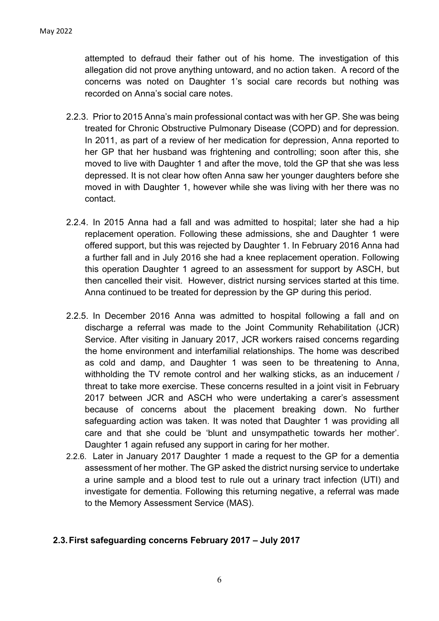attempted to defraud their father out of his home. The investigation of this allegation did not prove anything untoward, and no action taken. A record of the concerns was noted on Daughter 1's social care records but nothing was recorded on Anna's social care notes.

- 2.2.3. Prior to 2015 Anna's main professional contact was with her GP. She was being treated for Chronic Obstructive Pulmonary Disease (COPD) and for depression. In 2011, as part of a review of her medication for depression, Anna reported to her GP that her husband was frightening and controlling; soon after this, she moved to live with Daughter 1 and after the move, told the GP that she was less depressed. It is not clear how often Anna saw her younger daughters before she moved in with Daughter 1, however while she was living with her there was no contact.
- 2.2.4. In 2015 Anna had a fall and was admitted to hospital; later she had a hip replacement operation. Following these admissions, she and Daughter 1 were offered support, but this was rejected by Daughter 1. In February 2016 Anna had a further fall and in July 2016 she had a knee replacement operation. Following this operation Daughter 1 agreed to an assessment for support by ASCH, but then cancelled their visit. However, district nursing services started at this time. Anna continued to be treated for depression by the GP during this period.
- 2.2.5. In December 2016 Anna was admitted to hospital following a fall and on discharge a referral was made to the Joint Community Rehabilitation (JCR) Service. After visiting in January 2017, JCR workers raised concerns regarding the home environment and interfamilial relationships. The home was described as cold and damp, and Daughter 1 was seen to be threatening to Anna, withholding the TV remote control and her walking sticks, as an inducement / threat to take more exercise. These concerns resulted in a joint visit in February 2017 between JCR and ASCH who were undertaking a carer's assessment because of concerns about the placement breaking down. No further safeguarding action was taken. It was noted that Daughter 1 was providing all care and that she could be 'blunt and unsympathetic towards her mother'. Daughter 1 again refused any support in caring for her mother.
- 2.2.6. Later in January 2017 Daughter 1 made a request to the GP for a dementia assessment of her mother. The GP asked the district nursing service to undertake a urine sample and a blood test to rule out a urinary tract infection (UTI) and investigate for dementia. Following this returning negative, a referral was made to the Memory Assessment Service (MAS).

#### **2.3.First safeguarding concerns February 2017 – July 2017**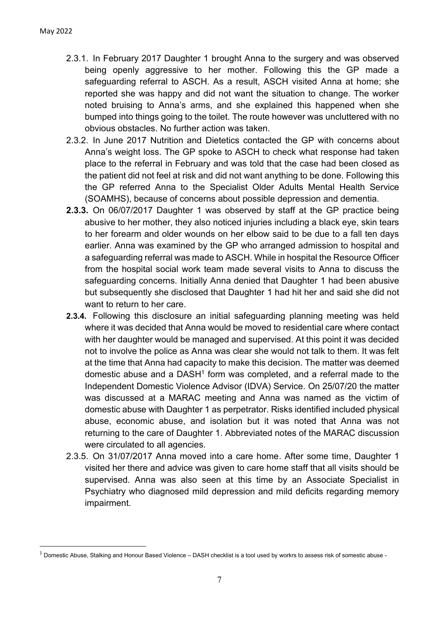- 2.3.1. In February 2017 Daughter 1 brought Anna to the surgery and was observed being openly aggressive to her mother. Following this the GP made a safeguarding referral to ASCH. As a result, ASCH visited Anna at home; she reported she was happy and did not want the situation to change. The worker noted bruising to Anna's arms, and she explained this happened when she bumped into things going to the toilet. The route however was uncluttered with no obvious obstacles. No further action was taken.
- 2.3.2. In June 2017 Nutrition and Dietetics contacted the GP with concerns about Anna's weight loss. The GP spoke to ASCH to check what response had taken place to the referral in February and was told that the case had been closed as the patient did not feel at risk and did not want anything to be done. Following this the GP referred Anna to the Specialist Older Adults Mental Health Service (SOAMHS), because of concerns about possible depression and dementia.
- **2.3.3.** On 06/07/2017 Daughter 1 was observed by staff at the GP practice being abusive to her mother, they also noticed injuries including a black eye, skin tears to her forearm and older wounds on her elbow said to be due to a fall ten days earlier. Anna was examined by the GP who arranged admission to hospital and a safeguarding referral was made to ASCH. While in hospital the Resource Officer from the hospital social work team made several visits to Anna to discuss the safeguarding concerns. Initially Anna denied that Daughter 1 had been abusive but subsequently she disclosed that Daughter 1 had hit her and said she did not want to return to her care.
- **2.3.4.** Following this disclosure an initial safeguarding planning meeting was held where it was decided that Anna would be moved to residential care where contact with her daughter would be managed and supervised. At this point it was decided not to involve the police as Anna was clear she would not talk to them. It was felt at the time that Anna had capacity to make this decision. The matter was deemed domestic abuse and a DASH<sup>1</sup> form was completed, and a referral made to the Independent Domestic Violence Advisor (IDVA) Service. On 25/07/20 the matter was discussed at a MARAC meeting and Anna was named as the victim of domestic abuse with Daughter 1 as perpetrator. Risks identified included physical abuse, economic abuse, and isolation but it was noted that Anna was not returning to the care of Daughter 1. Abbreviated notes of the MARAC discussion were circulated to all agencies.
- 2.3.5. On 31/07/2017 Anna moved into a care home. After some time, Daughter 1 visited her there and advice was given to care home staff that all visits should be supervised. Anna was also seen at this time by an Associate Specialist in Psychiatry who diagnosed mild depression and mild deficits regarding memory impairment.

 $1$  Domestic Abuse, Stalking and Honour Based Violence – DASH checklist is a tool used by workrs to assess risk of somestic abuse -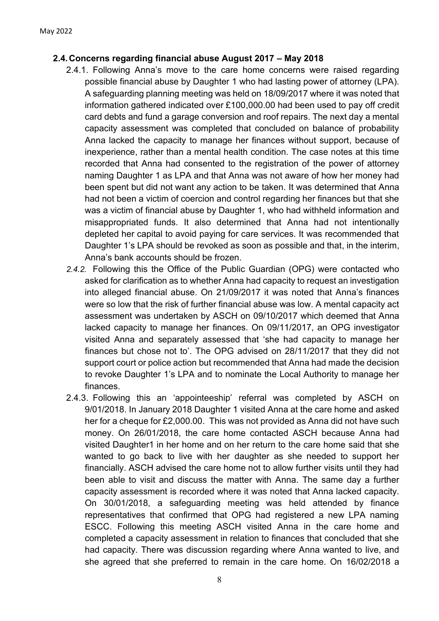#### **2.4.Concerns regarding financial abuse August 2017 – May 2018**

- 2.4.1. Following Anna's move to the care home concerns were raised regarding possible financial abuse by Daughter 1 who had lasting power of attorney (LPA). A safeguarding planning meeting was held on 18/09/2017 where it was noted that information gathered indicated over £100,000.00 had been used to pay off credit card debts and fund a garage conversion and roof repairs. The next day a mental capacity assessment was completed that concluded on balance of probability Anna lacked the capacity to manage her finances without support, because of inexperience, rather than a mental health condition. The case notes at this time recorded that Anna had consented to the registration of the power of attorney naming Daughter 1 as LPA and that Anna was not aware of how her money had been spent but did not want any action to be taken. It was determined that Anna had not been a victim of coercion and control regarding her finances but that she was a victim of financial abuse by Daughter 1, who had withheld information and misappropriated funds. It also determined that Anna had not intentionally depleted her capital to avoid paying for care services. It was recommended that Daughter 1's LPA should be revoked as soon as possible and that, in the interim, Anna's bank accounts should be frozen.
- *2.4.2.* Following this the Office of the Public Guardian (OPG) were contacted who asked for clarification as to whether Anna had capacity to request an investigation into alleged financial abuse. On 21/09/2017 it was noted that Anna's finances were so low that the risk of further financial abuse was low. A mental capacity act assessment was undertaken by ASCH on 09/10/2017 which deemed that Anna lacked capacity to manage her finances. On 09/11/2017, an OPG investigator visited Anna and separately assessed that 'she had capacity to manage her finances but chose not to'. The OPG advised on 28/11/2017 that they did not support court or police action but recommended that Anna had made the decision to revoke Daughter 1's LPA and to nominate the Local Authority to manage her finances.
- 2.4.3. Following this an 'appointeeship' referral was completed by ASCH on 9/01/2018. In January 2018 Daughter 1 visited Anna at the care home and asked her for a cheque for £2,000.00. This was not provided as Anna did not have such money. On 26/01/2018, the care home contacted ASCH because Anna had visited Daughter1 in her home and on her return to the care home said that she wanted to go back to live with her daughter as she needed to support her financially. ASCH advised the care home not to allow further visits until they had been able to visit and discuss the matter with Anna. The same day a further capacity assessment is recorded where it was noted that Anna lacked capacity. On 30/01/2018, a safeguarding meeting was held attended by finance representatives that confirmed that OPG had registered a new LPA naming ESCC. Following this meeting ASCH visited Anna in the care home and completed a capacity assessment in relation to finances that concluded that she had capacity. There was discussion regarding where Anna wanted to live, and she agreed that she preferred to remain in the care home. On 16/02/2018 a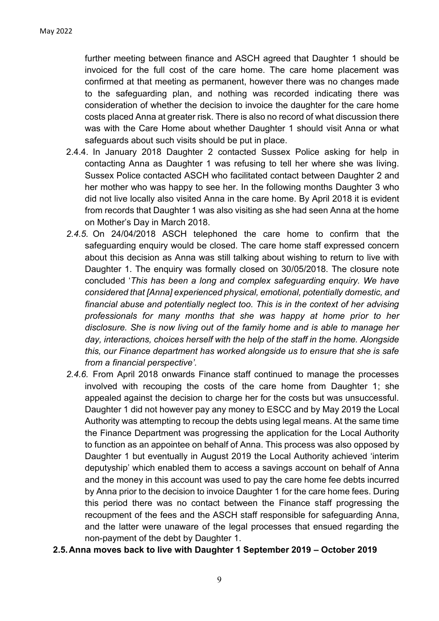further meeting between finance and ASCH agreed that Daughter 1 should be invoiced for the full cost of the care home. The care home placement was confirmed at that meeting as permanent, however there was no changes made to the safeguarding plan, and nothing was recorded indicating there was consideration of whether the decision to invoice the daughter for the care home costs placed Anna at greater risk. There is also no record of what discussion there was with the Care Home about whether Daughter 1 should visit Anna or what safeguards about such visits should be put in place.

- 2.4.4. In January 2018 Daughter 2 contacted Sussex Police asking for help in contacting Anna as Daughter 1 was refusing to tell her where she was living. Sussex Police contacted ASCH who facilitated contact between Daughter 2 and her mother who was happy to see her. In the following months Daughter 3 who did not live locally also visited Anna in the care home. By April 2018 it is evident from records that Daughter 1 was also visiting as she had seen Anna at the home on Mother's Day in March 2018.
- *2.4.5.* On 24/04/2018 ASCH telephoned the care home to confirm that the safeguarding enquiry would be closed. The care home staff expressed concern about this decision as Anna was still talking about wishing to return to live with Daughter 1. The enquiry was formally closed on 30/05/2018. The closure note concluded '*This has been a long and complex safeguarding enquiry. We have considered that [Anna] experienced physical, emotional, potentially domestic, and financial abuse and potentially neglect too. This is in the context of her advising professionals for many months that she was happy at home prior to her disclosure. She is now living out of the family home and is able to manage her day, interactions, choices herself with the help of the staff in the home. Alongside this, our Finance department has worked alongside us to ensure that she is safe from a financial perspective'.*
- *2.4.6.* From April 2018 onwards Finance staff continued to manage the processes involved with recouping the costs of the care home from Daughter 1; she appealed against the decision to charge her for the costs but was unsuccessful. Daughter 1 did not however pay any money to ESCC and by May 2019 the Local Authority was attempting to recoup the debts using legal means. At the same time the Finance Department was progressing the application for the Local Authority to function as an appointee on behalf of Anna. This process was also opposed by Daughter 1 but eventually in August 2019 the Local Authority achieved 'interim deputyship' which enabled them to access a savings account on behalf of Anna and the money in this account was used to pay the care home fee debts incurred by Anna prior to the decision to invoice Daughter 1 for the care home fees. During this period there was no contact between the Finance staff progressing the recoupment of the fees and the ASCH staff responsible for safeguarding Anna, and the latter were unaware of the legal processes that ensued regarding the non-payment of the debt by Daughter 1.
- **2.5.Anna moves back to live with Daughter 1 September 2019 – October 2019**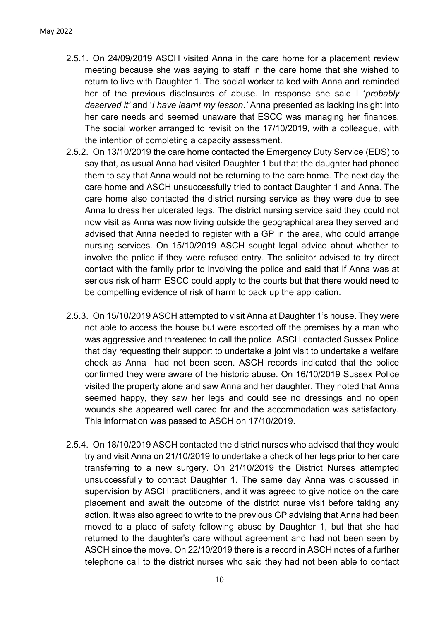- 2.5.1. On 24/09/2019 ASCH visited Anna in the care home for a placement review meeting because she was saying to staff in the care home that she wished to return to live with Daughter 1. The social worker talked with Anna and reminded her of the previous disclosures of abuse. In response she said I '*probably deserved it'* and '*I have learnt my lesson.'* Anna presented as lacking insight into her care needs and seemed unaware that ESCC was managing her finances. The social worker arranged to revisit on the 17/10/2019, with a colleague, with the intention of completing a capacity assessment.
- 2.5.2. On 13/10/2019 the care home contacted the Emergency Duty Service (EDS) to say that, as usual Anna had visited Daughter 1 but that the daughter had phoned them to say that Anna would not be returning to the care home. The next day the care home and ASCH unsuccessfully tried to contact Daughter 1 and Anna. The care home also contacted the district nursing service as they were due to see Anna to dress her ulcerated legs. The district nursing service said they could not now visit as Anna was now living outside the geographical area they served and advised that Anna needed to register with a GP in the area, who could arrange nursing services. On 15/10/2019 ASCH sought legal advice about whether to involve the police if they were refused entry. The solicitor advised to try direct contact with the family prior to involving the police and said that if Anna was at serious risk of harm ESCC could apply to the courts but that there would need to be compelling evidence of risk of harm to back up the application.
- 2.5.3. On 15/10/2019 ASCH attempted to visit Anna at Daughter 1's house. They were not able to access the house but were escorted off the premises by a man who was aggressive and threatened to call the police. ASCH contacted Sussex Police that day requesting their support to undertake a joint visit to undertake a welfare check as Anna had not been seen. ASCH records indicated that the police confirmed they were aware of the historic abuse. On 16/10/2019 Sussex Police visited the property alone and saw Anna and her daughter. They noted that Anna seemed happy, they saw her legs and could see no dressings and no open wounds she appeared well cared for and the accommodation was satisfactory. This information was passed to ASCH on 17/10/2019.
- 2.5.4. On 18/10/2019 ASCH contacted the district nurses who advised that they would try and visit Anna on 21/10/2019 to undertake a check of her legs prior to her care transferring to a new surgery. On 21/10/2019 the District Nurses attempted unsuccessfully to contact Daughter 1. The same day Anna was discussed in supervision by ASCH practitioners, and it was agreed to give notice on the care placement and await the outcome of the district nurse visit before taking any action. It was also agreed to write to the previous GP advising that Anna had been moved to a place of safety following abuse by Daughter 1, but that she had returned to the daughter's care without agreement and had not been seen by ASCH since the move. On 22/10/2019 there is a record in ASCH notes of a further telephone call to the district nurses who said they had not been able to contact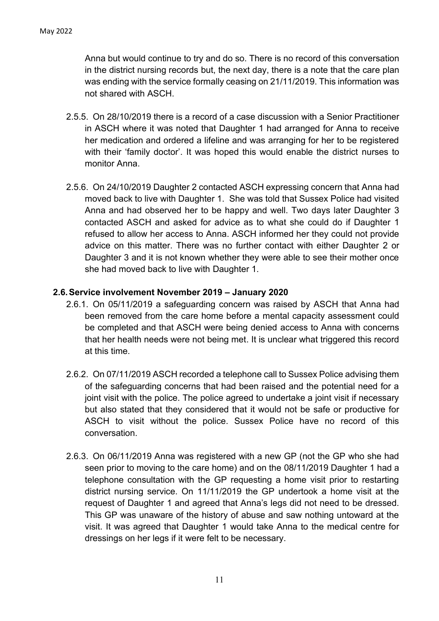Anna but would continue to try and do so. There is no record of this conversation in the district nursing records but, the next day, there is a note that the care plan was ending with the service formally ceasing on 21/11/2019. This information was not shared with ASCH.

- 2.5.5. On 28/10/2019 there is a record of a case discussion with a Senior Practitioner in ASCH where it was noted that Daughter 1 had arranged for Anna to receive her medication and ordered a lifeline and was arranging for her to be registered with their 'family doctor'. It was hoped this would enable the district nurses to monitor Anna.
- 2.5.6. On 24/10/2019 Daughter 2 contacted ASCH expressing concern that Anna had moved back to live with Daughter 1. She was told that Sussex Police had visited Anna and had observed her to be happy and well. Two days later Daughter 3 contacted ASCH and asked for advice as to what she could do if Daughter 1 refused to allow her access to Anna. ASCH informed her they could not provide advice on this matter. There was no further contact with either Daughter 2 or Daughter 3 and it is not known whether they were able to see their mother once she had moved back to live with Daughter 1.

#### **2.6.Service involvement November 2019 – January 2020**

- 2.6.1. On 05/11/2019 a safeguarding concern was raised by ASCH that Anna had been removed from the care home before a mental capacity assessment could be completed and that ASCH were being denied access to Anna with concerns that her health needs were not being met. It is unclear what triggered this record at this time.
- 2.6.2. On 07/11/2019 ASCH recorded a telephone call to Sussex Police advising them of the safeguarding concerns that had been raised and the potential need for a joint visit with the police. The police agreed to undertake a joint visit if necessary but also stated that they considered that it would not be safe or productive for ASCH to visit without the police. Sussex Police have no record of this conversation.
- 2.6.3. On 06/11/2019 Anna was registered with a new GP (not the GP who she had seen prior to moving to the care home) and on the 08/11/2019 Daughter 1 had a telephone consultation with the GP requesting a home visit prior to restarting district nursing service. On 11/11/2019 the GP undertook a home visit at the request of Daughter 1 and agreed that Anna's legs did not need to be dressed. This GP was unaware of the history of abuse and saw nothing untoward at the visit. It was agreed that Daughter 1 would take Anna to the medical centre for dressings on her legs if it were felt to be necessary.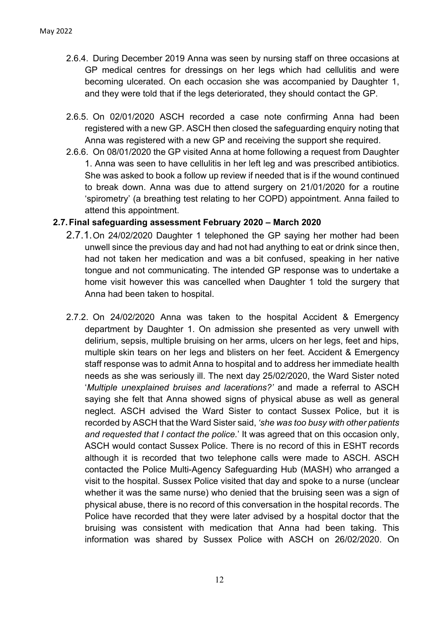- 2.6.4. During December 2019 Anna was seen by nursing staff on three occasions at GP medical centres for dressings on her legs which had cellulitis and were becoming ulcerated. On each occasion she was accompanied by Daughter 1, and they were told that if the legs deteriorated, they should contact the GP.
- 2.6.5. On 02/01/2020 ASCH recorded a case note confirming Anna had been registered with a new GP. ASCH then closed the safeguarding enquiry noting that Anna was registered with a new GP and receiving the support she required.
- 2.6.6. On 08/01/2020 the GP visited Anna at home following a request from Daughter 1. Anna was seen to have cellulitis in her left leg and was prescribed antibiotics. She was asked to book a follow up review if needed that is if the wound continued to break down. Anna was due to attend surgery on 21/01/2020 for a routine 'spirometry' (a breathing test relating to her COPD) appointment. Anna failed to attend this appointment.

#### **2.7.Final safeguarding assessment February 2020 – March 2020**

- 2.7.1.On 24/02/2020 Daughter 1 telephoned the GP saying her mother had been unwell since the previous day and had not had anything to eat or drink since then, had not taken her medication and was a bit confused, speaking in her native tongue and not communicating. The intended GP response was to undertake a home visit however this was cancelled when Daughter 1 told the surgery that Anna had been taken to hospital.
- 2.7.2. On 24/02/2020 Anna was taken to the hospital Accident & Emergency department by Daughter 1. On admission she presented as very unwell with delirium, sepsis, multiple bruising on her arms, ulcers on her legs, feet and hips, multiple skin tears on her legs and blisters on her feet. Accident & Emergency staff response was to admit Anna to hospital and to address her immediate health needs as she was seriously ill. The next day 25/02/2020, the Ward Sister noted '*Multiple unexplained bruises and lacerations?'* and made a referral to ASCH saying she felt that Anna showed signs of physical abuse as well as general neglect. ASCH advised the Ward Sister to contact Sussex Police, but it is recorded by ASCH that the Ward Sister said, *'she was too busy with other patients and requested that I contact the police.*' It was agreed that on this occasion only, ASCH would contact Sussex Police. There is no record of this in ESHT records although it is recorded that two telephone calls were made to ASCH. ASCH contacted the Police Multi-Agency Safeguarding Hub (MASH) who arranged a visit to the hospital. Sussex Police visited that day and spoke to a nurse (unclear whether it was the same nurse) who denied that the bruising seen was a sign of physical abuse, there is no record of this conversation in the hospital records. The Police have recorded that they were later advised by a hospital doctor that the bruising was consistent with medication that Anna had been taking. This information was shared by Sussex Police with ASCH on 26/02/2020. On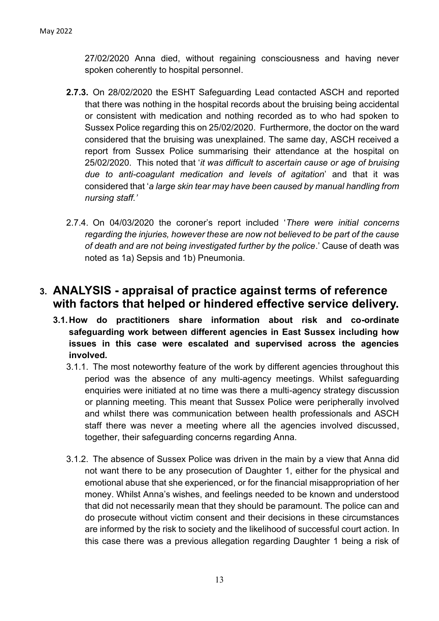27/02/2020 Anna died, without regaining consciousness and having never spoken coherently to hospital personnel.

- **2.7.3.** On 28/02/2020 the ESHT Safeguarding Lead contacted ASCH and reported that there was nothing in the hospital records about the bruising being accidental or consistent with medication and nothing recorded as to who had spoken to Sussex Police regarding this on 25/02/2020. Furthermore, the doctor on the ward considered that the bruising was unexplained. The same day, ASCH received a report from Sussex Police summarising their attendance at the hospital on 25/02/2020. This noted that '*it was difficult to ascertain cause or age of bruising due to anti-coagulant medication and levels of agitation*' and that it was considered that '*a large skin tear may have been caused by manual handling from nursing staff.'*
- 2.7.4. On 04/03/2020 the coroner's report included '*There were initial concerns regarding the injuries, however these are now not believed to be part of the cause of death and are not being investigated further by the police*.' Cause of death was noted as 1a) Sepsis and 1b) Pneumonia.

## **3. ANALYSIS - appraisal of practice against terms of reference with factors that helped or hindered effective service delivery.**

- **3.1.How do practitioners share information about risk and co-ordinate safeguarding work between different agencies in East Sussex including how issues in this case were escalated and supervised across the agencies involved.** 
	- 3.1.1. The most noteworthy feature of the work by different agencies throughout this period was the absence of any multi-agency meetings. Whilst safeguarding enquiries were initiated at no time was there a multi-agency strategy discussion or planning meeting. This meant that Sussex Police were peripherally involved and whilst there was communication between health professionals and ASCH staff there was never a meeting where all the agencies involved discussed, together, their safeguarding concerns regarding Anna.
	- 3.1.2. The absence of Sussex Police was driven in the main by a view that Anna did not want there to be any prosecution of Daughter 1, either for the physical and emotional abuse that she experienced, or for the financial misappropriation of her money. Whilst Anna's wishes, and feelings needed to be known and understood that did not necessarily mean that they should be paramount. The police can and do prosecute without victim consent and their decisions in these circumstances are informed by the risk to society and the likelihood of successful court action. In this case there was a previous allegation regarding Daughter 1 being a risk of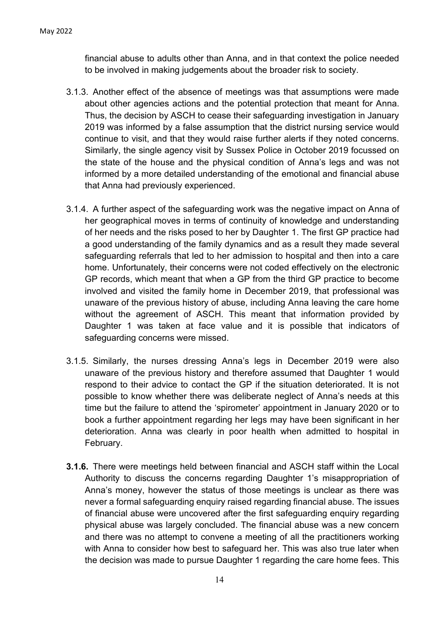financial abuse to adults other than Anna, and in that context the police needed to be involved in making judgements about the broader risk to society.

- 3.1.3. Another effect of the absence of meetings was that assumptions were made about other agencies actions and the potential protection that meant for Anna. Thus, the decision by ASCH to cease their safeguarding investigation in January 2019 was informed by a false assumption that the district nursing service would continue to visit, and that they would raise further alerts if they noted concerns. Similarly, the single agency visit by Sussex Police in October 2019 focussed on the state of the house and the physical condition of Anna's legs and was not informed by a more detailed understanding of the emotional and financial abuse that Anna had previously experienced.
- 3.1.4. A further aspect of the safeguarding work was the negative impact on Anna of her geographical moves in terms of continuity of knowledge and understanding of her needs and the risks posed to her by Daughter 1. The first GP practice had a good understanding of the family dynamics and as a result they made several safeguarding referrals that led to her admission to hospital and then into a care home. Unfortunately, their concerns were not coded effectively on the electronic GP records, which meant that when a GP from the third GP practice to become involved and visited the family home in December 2019, that professional was unaware of the previous history of abuse, including Anna leaving the care home without the agreement of ASCH. This meant that information provided by Daughter 1 was taken at face value and it is possible that indicators of safeguarding concerns were missed.
- 3.1.5. Similarly, the nurses dressing Anna's legs in December 2019 were also unaware of the previous history and therefore assumed that Daughter 1 would respond to their advice to contact the GP if the situation deteriorated. It is not possible to know whether there was deliberate neglect of Anna's needs at this time but the failure to attend the 'spirometer' appointment in January 2020 or to book a further appointment regarding her legs may have been significant in her deterioration. Anna was clearly in poor health when admitted to hospital in February.
- **3.1.6.** There were meetings held between financial and ASCH staff within the Local Authority to discuss the concerns regarding Daughter 1's misappropriation of Anna's money, however the status of those meetings is unclear as there was never a formal safeguarding enquiry raised regarding financial abuse. The issues of financial abuse were uncovered after the first safeguarding enquiry regarding physical abuse was largely concluded. The financial abuse was a new concern and there was no attempt to convene a meeting of all the practitioners working with Anna to consider how best to safeguard her. This was also true later when the decision was made to pursue Daughter 1 regarding the care home fees. This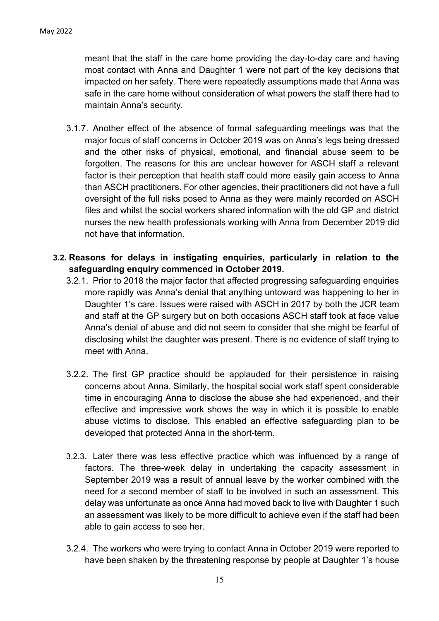meant that the staff in the care home providing the day-to-day care and having most contact with Anna and Daughter 1 were not part of the key decisions that impacted on her safety. There were repeatedly assumptions made that Anna was safe in the care home without consideration of what powers the staff there had to maintain Anna's security.

- 3.1.7. Another effect of the absence of formal safeguarding meetings was that the major focus of staff concerns in October 2019 was on Anna's legs being dressed and the other risks of physical, emotional, and financial abuse seem to be forgotten. The reasons for this are unclear however for ASCH staff a relevant factor is their perception that health staff could more easily gain access to Anna than ASCH practitioners. For other agencies, their practitioners did not have a full oversight of the full risks posed to Anna as they were mainly recorded on ASCH files and whilst the social workers shared information with the old GP and district nurses the new health professionals working with Anna from December 2019 did not have that information.
- **3.2. Reasons for delays in instigating enquiries, particularly in relation to the safeguarding enquiry commenced in October 2019.** 
	- 3.2.1. Prior to 2018 the major factor that affected progressing safeguarding enquiries more rapidly was Anna's denial that anything untoward was happening to her in Daughter 1's care. Issues were raised with ASCH in 2017 by both the JCR team and staff at the GP surgery but on both occasions ASCH staff took at face value Anna's denial of abuse and did not seem to consider that she might be fearful of disclosing whilst the daughter was present. There is no evidence of staff trying to meet with Anna.
	- 3.2.2. The first GP practice should be applauded for their persistence in raising concerns about Anna. Similarly, the hospital social work staff spent considerable time in encouraging Anna to disclose the abuse she had experienced, and their effective and impressive work shows the way in which it is possible to enable abuse victims to disclose. This enabled an effective safeguarding plan to be developed that protected Anna in the short-term.
	- 3.2.3. Later there was less effective practice which was influenced by a range of factors. The three-week delay in undertaking the capacity assessment in September 2019 was a result of annual leave by the worker combined with the need for a second member of staff to be involved in such an assessment. This delay was unfortunate as once Anna had moved back to live with Daughter 1 such an assessment was likely to be more difficult to achieve even if the staff had been able to gain access to see her.
	- 3.2.4. The workers who were trying to contact Anna in October 2019 were reported to have been shaken by the threatening response by people at Daughter 1's house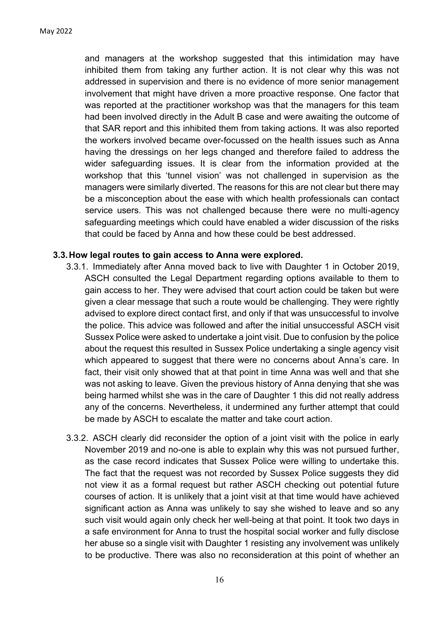and managers at the workshop suggested that this intimidation may have inhibited them from taking any further action. It is not clear why this was not addressed in supervision and there is no evidence of more senior management involvement that might have driven a more proactive response. One factor that was reported at the practitioner workshop was that the managers for this team had been involved directly in the Adult B case and were awaiting the outcome of that SAR report and this inhibited them from taking actions. It was also reported the workers involved became over-focussed on the health issues such as Anna having the dressings on her legs changed and therefore failed to address the wider safeguarding issues. It is clear from the information provided at the workshop that this 'tunnel vision' was not challenged in supervision as the managers were similarly diverted. The reasons for this are not clear but there may be a misconception about the ease with which health professionals can contact service users. This was not challenged because there were no multi-agency safeguarding meetings which could have enabled a wider discussion of the risks that could be faced by Anna and how these could be best addressed.

#### **3.3.How legal routes to gain access to Anna were explored.**

- 3.3.1. Immediately after Anna moved back to live with Daughter 1 in October 2019, ASCH consulted the Legal Department regarding options available to them to gain access to her. They were advised that court action could be taken but were given a clear message that such a route would be challenging. They were rightly advised to explore direct contact first, and only if that was unsuccessful to involve the police. This advice was followed and after the initial unsuccessful ASCH visit Sussex Police were asked to undertake a joint visit. Due to confusion by the police about the request this resulted in Sussex Police undertaking a single agency visit which appeared to suggest that there were no concerns about Anna's care. In fact, their visit only showed that at that point in time Anna was well and that she was not asking to leave. Given the previous history of Anna denying that she was being harmed whilst she was in the care of Daughter 1 this did not really address any of the concerns. Nevertheless, it undermined any further attempt that could be made by ASCH to escalate the matter and take court action.
- 3.3.2. ASCH clearly did reconsider the option of a joint visit with the police in early November 2019 and no-one is able to explain why this was not pursued further, as the case record indicates that Sussex Police were willing to undertake this. The fact that the request was not recorded by Sussex Police suggests they did not view it as a formal request but rather ASCH checking out potential future courses of action. It is unlikely that a joint visit at that time would have achieved significant action as Anna was unlikely to say she wished to leave and so any such visit would again only check her well-being at that point. It took two days in a safe environment for Anna to trust the hospital social worker and fully disclose her abuse so a single visit with Daughter 1 resisting any involvement was unlikely to be productive. There was also no reconsideration at this point of whether an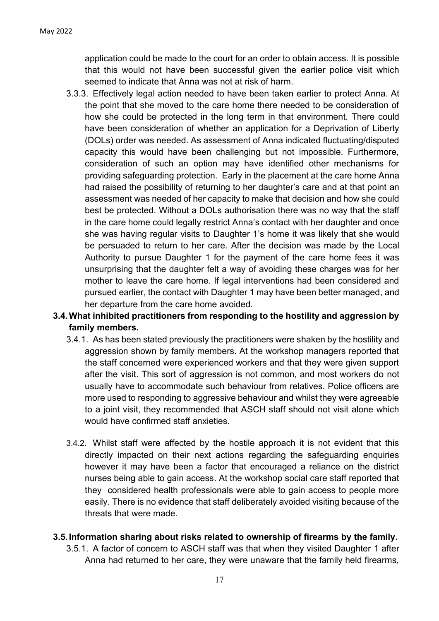application could be made to the court for an order to obtain access. It is possible that this would not have been successful given the earlier police visit which seemed to indicate that Anna was not at risk of harm.

3.3.3. Effectively legal action needed to have been taken earlier to protect Anna. At the point that she moved to the care home there needed to be consideration of how she could be protected in the long term in that environment. There could have been consideration of whether an application for a Deprivation of Liberty (DOLs) order was needed. As assessment of Anna indicated fluctuating/disputed capacity this would have been challenging but not impossible. Furthermore, consideration of such an option may have identified other mechanisms for providing safeguarding protection. Early in the placement at the care home Anna had raised the possibility of returning to her daughter's care and at that point an assessment was needed of her capacity to make that decision and how she could best be protected. Without a DOLs authorisation there was no way that the staff in the care home could legally restrict Anna's contact with her daughter and once she was having regular visits to Daughter 1's home it was likely that she would be persuaded to return to her care. After the decision was made by the Local Authority to pursue Daughter 1 for the payment of the care home fees it was unsurprising that the daughter felt a way of avoiding these charges was for her mother to leave the care home. If legal interventions had been considered and pursued earlier, the contact with Daughter 1 may have been better managed, and her departure from the care home avoided.

#### **3.4.What inhibited practitioners from responding to the hostility and aggression by family members.**

- 3.4.1. As has been stated previously the practitioners were shaken by the hostility and aggression shown by family members. At the workshop managers reported that the staff concerned were experienced workers and that they were given support after the visit. This sort of aggression is not common, and most workers do not usually have to accommodate such behaviour from relatives. Police officers are more used to responding to aggressive behaviour and whilst they were agreeable to a joint visit, they recommended that ASCH staff should not visit alone which would have confirmed staff anxieties.
- 3.4.2. Whilst staff were affected by the hostile approach it is not evident that this directly impacted on their next actions regarding the safeguarding enquiries however it may have been a factor that encouraged a reliance on the district nurses being able to gain access. At the workshop social care staff reported that they considered health professionals were able to gain access to people more easily. There is no evidence that staff deliberately avoided visiting because of the threats that were made.

#### **3.5.Information sharing about risks related to ownership of firearms by the family.**

3.5.1. A factor of concern to ASCH staff was that when they visited Daughter 1 after Anna had returned to her care, they were unaware that the family held firearms,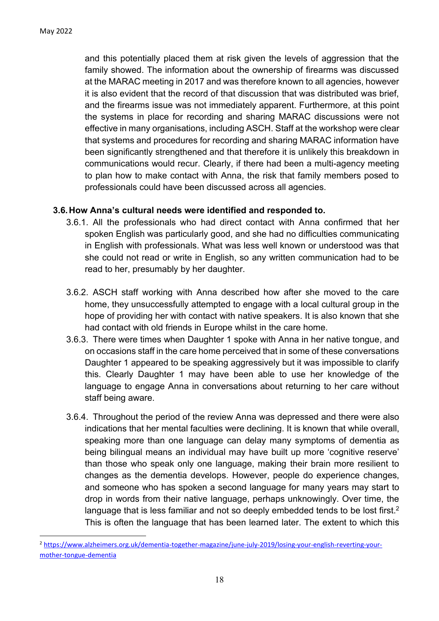and this potentially placed them at risk given the levels of aggression that the family showed. The information about the ownership of firearms was discussed at the MARAC meeting in 2017 and was therefore known to all agencies, however it is also evident that the record of that discussion that was distributed was brief, and the firearms issue was not immediately apparent. Furthermore, at this point the systems in place for recording and sharing MARAC discussions were not effective in many organisations, including ASCH. Staff at the workshop were clear that systems and procedures for recording and sharing MARAC information have been significantly strengthened and that therefore it is unlikely this breakdown in communications would recur. Clearly, if there had been a multi-agency meeting to plan how to make contact with Anna, the risk that family members posed to professionals could have been discussed across all agencies.

#### **3.6.How Anna's cultural needs were identified and responded to.**

- 3.6.1. All the professionals who had direct contact with Anna confirmed that her spoken English was particularly good, and she had no difficulties communicating in English with professionals. What was less well known or understood was that she could not read or write in English, so any written communication had to be read to her, presumably by her daughter.
- 3.6.2. ASCH staff working with Anna described how after she moved to the care home, they unsuccessfully attempted to engage with a local cultural group in the hope of providing her with contact with native speakers. It is also known that she had contact with old friends in Europe whilst in the care home.
- 3.6.3. There were times when Daughter 1 spoke with Anna in her native tongue, and on occasions staff in the care home perceived that in some of these conversations Daughter 1 appeared to be speaking aggressively but it was impossible to clarify this. Clearly Daughter 1 may have been able to use her knowledge of the language to engage Anna in conversations about returning to her care without staff being aware.
- 3.6.4. Throughout the period of the review Anna was depressed and there were also indications that her mental faculties were declining. It is known that while overall, speaking more than one language can delay many symptoms of dementia as being bilingual means an individual may have built up more 'cognitive reserve' than those who speak only one language, making their brain more resilient to changes as the dementia develops. However, people do experience changes, and someone who has spoken a second language for many years may start to drop in words from their native language, perhaps unknowingly. Over time, the language that is less familiar and not so deeply embedded tends to be lost first.<sup>2</sup> This is often the language that has been learned later. The extent to which this

<sup>2</sup> [https://www.alzheimers.org.uk/dementia-together-magazine/june-july-2019/losing-your-english-reverting-your](https://www.alzheimers.org.uk/dementia-together-magazine/june-july-2019/losing-your-english-reverting-your-mother-tongue-dementia)[mother-tongue-dementia](https://www.alzheimers.org.uk/dementia-together-magazine/june-july-2019/losing-your-english-reverting-your-mother-tongue-dementia)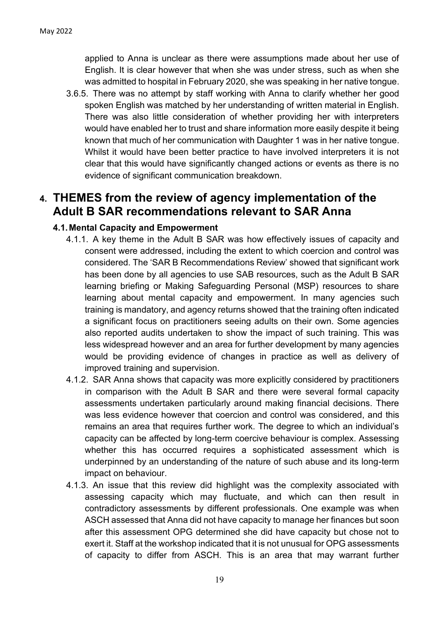applied to Anna is unclear as there were assumptions made about her use of English. It is clear however that when she was under stress, such as when she was admitted to hospital in February 2020, she was speaking in her native tongue.

3.6.5. There was no attempt by staff working with Anna to clarify whether her good spoken English was matched by her understanding of written material in English. There was also little consideration of whether providing her with interpreters would have enabled her to trust and share information more easily despite it being known that much of her communication with Daughter 1 was in her native tongue. Whilst it would have been better practice to have involved interpreters it is not clear that this would have significantly changed actions or events as there is no evidence of significant communication breakdown.

## **4. THEMES from the review of agency implementation of the Adult B SAR recommendations relevant to SAR Anna**

#### **4.1.Mental Capacity and Empowerment**

- 4.1.1. A key theme in the Adult B SAR was how effectively issues of capacity and consent were addressed, including the extent to which coercion and control was considered. The 'SAR B Recommendations Review' showed that significant work has been done by all agencies to use SAB resources, such as the Adult B SAR learning briefing or Making Safeguarding Personal (MSP) resources to share learning about mental capacity and empowerment. In many agencies such training is mandatory, and agency returns showed that the training often indicated a significant focus on practitioners seeing adults on their own. Some agencies also reported audits undertaken to show the impact of such training. This was less widespread however and an area for further development by many agencies would be providing evidence of changes in practice as well as delivery of improved training and supervision.
- 4.1.2. SAR Anna shows that capacity was more explicitly considered by practitioners in comparison with the Adult B SAR and there were several formal capacity assessments undertaken particularly around making financial decisions. There was less evidence however that coercion and control was considered, and this remains an area that requires further work. The degree to which an individual's capacity can be affected by long-term coercive behaviour is complex. Assessing whether this has occurred requires a sophisticated assessment which is underpinned by an understanding of the nature of such abuse and its long-term impact on behaviour.
- 4.1.3. An issue that this review did highlight was the complexity associated with assessing capacity which may fluctuate, and which can then result in contradictory assessments by different professionals. One example was when ASCH assessed that Anna did not have capacity to manage her finances but soon after this assessment OPG determined she did have capacity but chose not to exert it. Staff at the workshop indicated that it is not unusual for OPG assessments of capacity to differ from ASCH. This is an area that may warrant further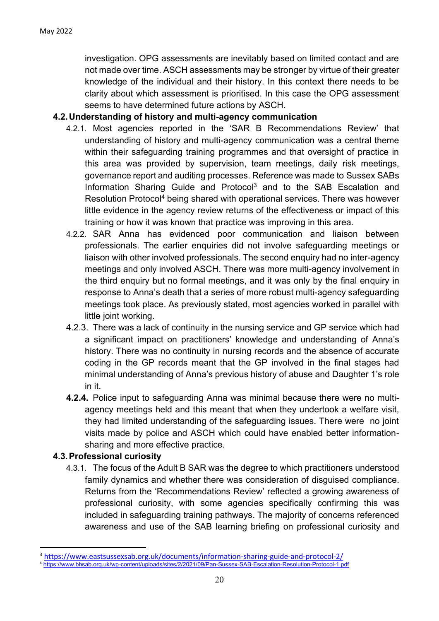investigation. OPG assessments are inevitably based on limited contact and are not made over time. ASCH assessments may be stronger by virtue of their greater knowledge of the individual and their history. In this context there needs to be clarity about which assessment is prioritised. In this case the OPG assessment seems to have determined future actions by ASCH.

#### **4.2.Understanding of history and multi-agency communication**

- 4.2.1. Most agencies reported in the 'SAR B Recommendations Review' that understanding of history and multi-agency communication was a central theme within their safeguarding training programmes and that oversight of practice in this area was provided by supervision, team meetings, daily risk meetings, governance report and auditing processes. Reference was made to Sussex SABs Information Sharing Guide and Protocol<sup>3</sup> and to the SAB Escalation and Resolution Protocol<sup>4</sup> being shared with operational services. There was however little evidence in the agency review returns of the effectiveness or impact of this training or how it was known that practice was improving in this area.
- 4.2.2. SAR Anna has evidenced poor communication and liaison between professionals. The earlier enquiries did not involve safeguarding meetings or liaison with other involved professionals. The second enquiry had no inter-agency meetings and only involved ASCH. There was more multi-agency involvement in the third enquiry but no formal meetings, and it was only by the final enquiry in response to Anna's death that a series of more robust multi-agency safeguarding meetings took place. As previously stated, most agencies worked in parallel with little joint working.
- 4.2.3. There was a lack of continuity in the nursing service and GP service which had a significant impact on practitioners' knowledge and understanding of Anna's history. There was no continuity in nursing records and the absence of accurate coding in the GP records meant that the GP involved in the final stages had minimal understanding of Anna's previous history of abuse and Daughter 1's role in it.
- **4.2.4.** Police input to safeguarding Anna was minimal because there were no multiagency meetings held and this meant that when they undertook a welfare visit, they had limited understanding of the safeguarding issues. There were no joint visits made by police and ASCH which could have enabled better informationsharing and more effective practice.

#### **4.3.Professional curiosity**

4.3.1. The focus of the Adult B SAR was the degree to which practitioners understood family dynamics and whether there was consideration of disguised compliance. Returns from the 'Recommendations Review' reflected a growing awareness of professional curiosity, with some agencies specifically confirming this was included in safeguarding training pathways. The majority of concerns referenced awareness and use of the SAB learning briefing on professional curiosity and

<sup>&</sup>lt;sup>3</sup> <https://www.eastsussexsab.org.uk/documents/information-sharing-guide-and-protocol-2/>

<sup>4</sup> <https://www.bhsab.org.uk/wp-content/uploads/sites/2/2021/09/Pan-Sussex-SAB-Escalation-Resolution-Protocol-1.pdf>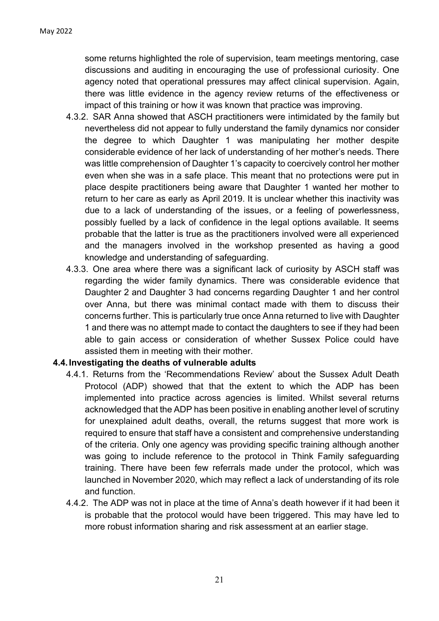some returns highlighted the role of supervision, team meetings mentoring, case discussions and auditing in encouraging the use of professional curiosity. One agency noted that operational pressures may affect clinical supervision. Again, there was little evidence in the agency review returns of the effectiveness or impact of this training or how it was known that practice was improving.

- 4.3.2. SAR Anna showed that ASCH practitioners were intimidated by the family but nevertheless did not appear to fully understand the family dynamics nor consider the degree to which Daughter 1 was manipulating her mother despite considerable evidence of her lack of understanding of her mother's needs. There was little comprehension of Daughter 1's capacity to coercively control her mother even when she was in a safe place. This meant that no protections were put in place despite practitioners being aware that Daughter 1 wanted her mother to return to her care as early as April 2019. It is unclear whether this inactivity was due to a lack of understanding of the issues, or a feeling of powerlessness, possibly fuelled by a lack of confidence in the legal options available. It seems probable that the latter is true as the practitioners involved were all experienced and the managers involved in the workshop presented as having a good knowledge and understanding of safeguarding.
- 4.3.3. One area where there was a significant lack of curiosity by ASCH staff was regarding the wider family dynamics. There was considerable evidence that Daughter 2 and Daughter 3 had concerns regarding Daughter 1 and her control over Anna, but there was minimal contact made with them to discuss their concerns further. This is particularly true once Anna returned to live with Daughter 1 and there was no attempt made to contact the daughters to see if they had been able to gain access or consideration of whether Sussex Police could have assisted them in meeting with their mother.

#### **4.4.Investigating the deaths of vulnerable adults**

- 4.4.1. Returns from the 'Recommendations Review' about the Sussex Adult Death Protocol (ADP) showed that that the extent to which the ADP has been implemented into practice across agencies is limited. Whilst several returns acknowledged that the ADP has been positive in enabling another level of scrutiny for unexplained adult deaths, overall, the returns suggest that more work is required to ensure that staff have a consistent and comprehensive understanding of the criteria. Only one agency was providing specific training although another was going to include reference to the protocol in Think Family safeguarding training. There have been few referrals made under the protocol, which was launched in November 2020, which may reflect a lack of understanding of its role and function.
- 4.4.2. The ADP was not in place at the time of Anna's death however if it had been it is probable that the protocol would have been triggered. This may have led to more robust information sharing and risk assessment at an earlier stage.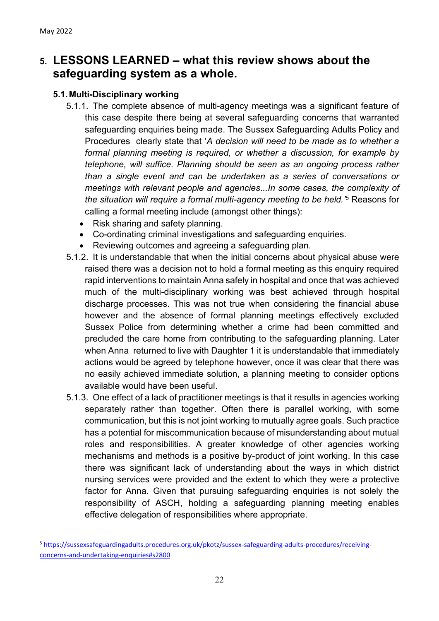## **5. LESSONS LEARNED – what this review shows about the safeguarding system as a whole.**

#### **5.1.Multi-Disciplinary working**

- 5.1.1. The complete absence of multi-agency meetings was a significant feature of this case despite there being at several safeguarding concerns that warranted safeguarding enquiries being made. The Sussex Safeguarding Adults Policy and Procedures clearly state that '*A decision will need to be made as to whether a formal planning meeting is required, or whether a discussion, for example by telephone, will suffice. Planning should be seen as an ongoing process rather than a single event and can be undertaken as a series of conversations or meetings with relevant people and agencies...In some cases, the complexity of the situation will require a formal multi-agency meeting to be held.' <sup>5</sup>* Reasons for calling a formal meeting include (amongst other things):
	- Risk sharing and safety planning.
	- Co-ordinating criminal investigations and safeguarding enquiries.
	- Reviewing outcomes and agreeing a safeguarding plan.
- 5.1.2. It is understandable that when the initial concerns about physical abuse were raised there was a decision not to hold a formal meeting as this enquiry required rapid interventions to maintain Anna safely in hospital and once that was achieved much of the multi-disciplinary working was best achieved through hospital discharge processes. This was not true when considering the financial abuse however and the absence of formal planning meetings effectively excluded Sussex Police from determining whether a crime had been committed and precluded the care home from contributing to the safeguarding planning. Later when Anna returned to live with Daughter 1 it is understandable that immediately actions would be agreed by telephone however, once it was clear that there was no easily achieved immediate solution, a planning meeting to consider options available would have been useful.
- 5.1.3. One effect of a lack of practitioner meetings is that it results in agencies working separately rather than together. Often there is parallel working, with some communication, but this is not joint working to mutually agree goals. Such practice has a potential for miscommunication because of misunderstanding about mutual roles and responsibilities. A greater knowledge of other agencies working mechanisms and methods is a positive by-product of joint working. In this case there was significant lack of understanding about the ways in which district nursing services were provided and the extent to which they were a protective factor for Anna. Given that pursuing safeguarding enquiries is not solely the responsibility of ASCH, holding a safeguarding planning meeting enables effective delegation of responsibilities where appropriate.

<sup>5</sup> [https://sussexsafeguardingadults.procedures.org.uk/pkotz/sussex-safeguarding-adults-procedures/receiving](https://sussexsafeguardingadults.procedures.org.uk/pkotz/sussex-safeguarding-adults-procedures/receiving-concerns-and-undertaking-enquiries#s2800)[concerns-and-undertaking-enquiries#s2800](https://sussexsafeguardingadults.procedures.org.uk/pkotz/sussex-safeguarding-adults-procedures/receiving-concerns-and-undertaking-enquiries#s2800)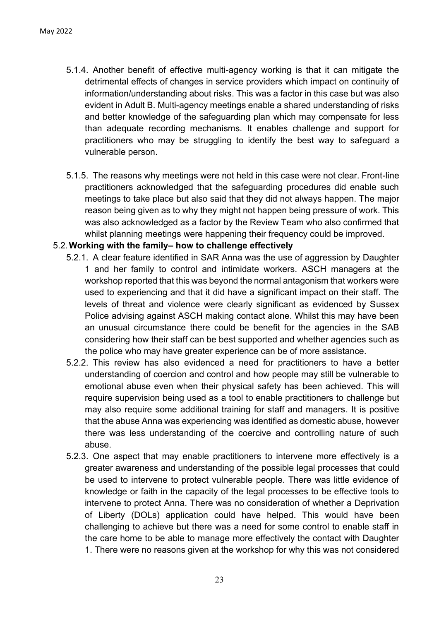- 5.1.4. Another benefit of effective multi-agency working is that it can mitigate the detrimental effects of changes in service providers which impact on continuity of information/understanding about risks. This was a factor in this case but was also evident in Adult B. Multi-agency meetings enable a shared understanding of risks and better knowledge of the safeguarding plan which may compensate for less than adequate recording mechanisms. It enables challenge and support for practitioners who may be struggling to identify the best way to safeguard a vulnerable person.
- 5.1.5. The reasons why meetings were not held in this case were not clear. Front-line practitioners acknowledged that the safeguarding procedures did enable such meetings to take place but also said that they did not always happen. The major reason being given as to why they might not happen being pressure of work. This was also acknowledged as a factor by the Review Team who also confirmed that whilst planning meetings were happening their frequency could be improved.

#### 5.2.**Working with the family– how to challenge effectively**

- 5.2.1. A clear feature identified in SAR Anna was the use of aggression by Daughter 1 and her family to control and intimidate workers. ASCH managers at the workshop reported that this was beyond the normal antagonism that workers were used to experiencing and that it did have a significant impact on their staff. The levels of threat and violence were clearly significant as evidenced by Sussex Police advising against ASCH making contact alone. Whilst this may have been an unusual circumstance there could be benefit for the agencies in the SAB considering how their staff can be best supported and whether agencies such as the police who may have greater experience can be of more assistance.
- 5.2.2. This review has also evidenced a need for practitioners to have a better understanding of coercion and control and how people may still be vulnerable to emotional abuse even when their physical safety has been achieved. This will require supervision being used as a tool to enable practitioners to challenge but may also require some additional training for staff and managers. It is positive that the abuse Anna was experiencing was identified as domestic abuse, however there was less understanding of the coercive and controlling nature of such abuse.
- 5.2.3. One aspect that may enable practitioners to intervene more effectively is a greater awareness and understanding of the possible legal processes that could be used to intervene to protect vulnerable people. There was little evidence of knowledge or faith in the capacity of the legal processes to be effective tools to intervene to protect Anna. There was no consideration of whether a Deprivation of Liberty (DOLs) application could have helped. This would have been challenging to achieve but there was a need for some control to enable staff in the care home to be able to manage more effectively the contact with Daughter 1. There were no reasons given at the workshop for why this was not considered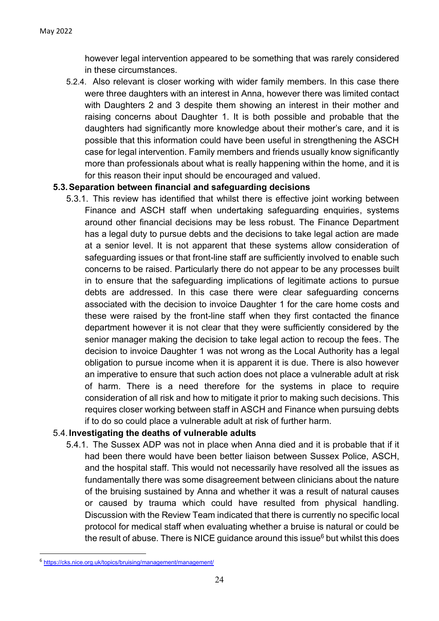however legal intervention appeared to be something that was rarely considered in these circumstances.

5.2.4. Also relevant is closer working with wider family members. In this case there were three daughters with an interest in Anna, however there was limited contact with Daughters 2 and 3 despite them showing an interest in their mother and raising concerns about Daughter 1. It is both possible and probable that the daughters had significantly more knowledge about their mother's care, and it is possible that this information could have been useful in strengthening the ASCH case for legal intervention. Family members and friends usually know significantly more than professionals about what is really happening within the home, and it is for this reason their input should be encouraged and valued.

#### **5.3.Separation between financial and safeguarding decisions**

5.3.1. This review has identified that whilst there is effective joint working between Finance and ASCH staff when undertaking safeguarding enquiries, systems around other financial decisions may be less robust. The Finance Department has a legal duty to pursue debts and the decisions to take legal action are made at a senior level. It is not apparent that these systems allow consideration of safeguarding issues or that front-line staff are sufficiently involved to enable such concerns to be raised. Particularly there do not appear to be any processes built in to ensure that the safeguarding implications of legitimate actions to pursue debts are addressed. In this case there were clear safeguarding concerns associated with the decision to invoice Daughter 1 for the care home costs and these were raised by the front-line staff when they first contacted the finance department however it is not clear that they were sufficiently considered by the senior manager making the decision to take legal action to recoup the fees. The decision to invoice Daughter 1 was not wrong as the Local Authority has a legal obligation to pursue income when it is apparent it is due. There is also however an imperative to ensure that such action does not place a vulnerable adult at risk of harm. There is a need therefore for the systems in place to require consideration of all risk and how to mitigate it prior to making such decisions. This requires closer working between staff in ASCH and Finance when pursuing debts if to do so could place a vulnerable adult at risk of further harm.

#### 5.4.**Investigating the deaths of vulnerable adults**

5.4.1. The Sussex ADP was not in place when Anna died and it is probable that if it had been there would have been better liaison between Sussex Police, ASCH, and the hospital staff. This would not necessarily have resolved all the issues as fundamentally there was some disagreement between clinicians about the nature of the bruising sustained by Anna and whether it was a result of natural causes or caused by trauma which could have resulted from physical handling. Discussion with the Review Team indicated that there is currently no specific local protocol for medical staff when evaluating whether a bruise is natural or could be the result of abuse. There is NICE guidance around this issue $6$  but whilst this does

<sup>6</sup> <https://cks.nice.org.uk/topics/bruising/management/management/>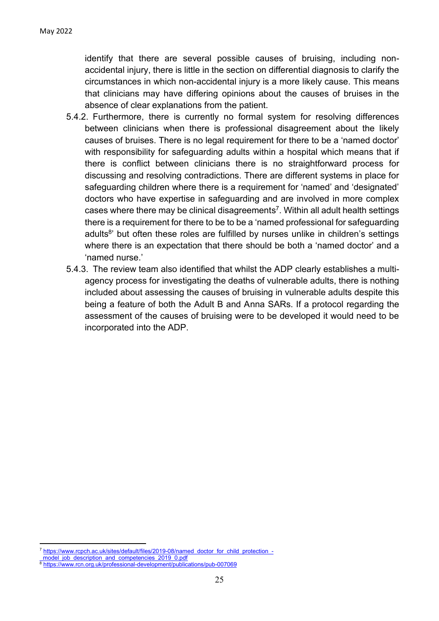identify that there are several possible causes of bruising, including nonaccidental injury, there is little in the section on differential diagnosis to clarify the circumstances in which non-accidental injury is a more likely cause. This means that clinicians may have differing opinions about the causes of bruises in the absence of clear explanations from the patient.

- 5.4.2. Furthermore, there is currently no formal system for resolving differences between clinicians when there is professional disagreement about the likely causes of bruises. There is no legal requirement for there to be a 'named doctor' with responsibility for safeguarding adults within a hospital which means that if there is conflict between clinicians there is no straightforward process for discussing and resolving contradictions. There are different systems in place for safeguarding children where there is a requirement for 'named' and 'designated' doctors who have expertise in safeguarding and are involved in more complex cases where there may be clinical disagreements 7 . Within all adult health settings there is a requirement for there to be to be a 'named professional for safeguarding adults<sup>8</sup>' but often these roles are fulfilled by nurses unlike in children's settings where there is an expectation that there should be both a 'named doctor' and a 'named nurse.'
- 5.4.3. The review team also identified that whilst the ADP clearly establishes a multiagency process for investigating the deaths of vulnerable adults, there is nothing included about assessing the causes of bruising in vulnerable adults despite this being a feature of both the Adult B and Anna SARs. If a protocol regarding the assessment of the causes of bruising were to be developed it would need to be incorporated into the ADP.

<sup>7</sup> [https://www.rcpch.ac.uk/sites/default/files/2019-08/named\\_doctor\\_for\\_child\\_protection\\_-](https://www.rcpch.ac.uk/sites/default/files/2019-08/named_doctor_for_child_protection_-_model_job_description_and_competencies_2019_0.pdf)

model\_job\_description\_and\_competencies\_2019\_0.pdf

<sup>8</sup> <https://www.rcn.org.uk/professional-development/publications/pub-007069>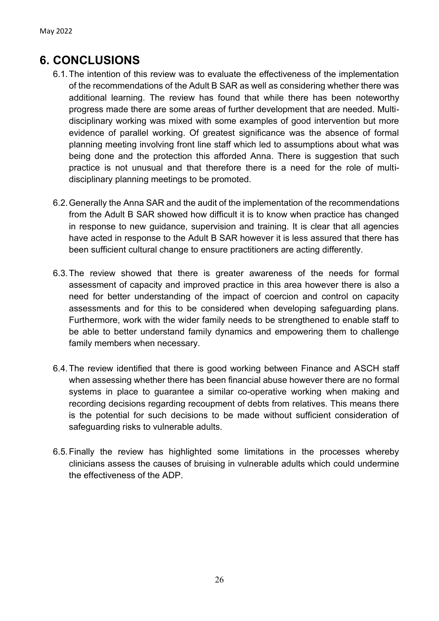## **6. CONCLUSIONS**

- 6.1.The intention of this review was to evaluate the effectiveness of the implementation of the recommendations of the Adult B SAR as well as considering whether there was additional learning. The review has found that while there has been noteworthy progress made there are some areas of further development that are needed. Multidisciplinary working was mixed with some examples of good intervention but more evidence of parallel working. Of greatest significance was the absence of formal planning meeting involving front line staff which led to assumptions about what was being done and the protection this afforded Anna. There is suggestion that such practice is not unusual and that therefore there is a need for the role of multidisciplinary planning meetings to be promoted.
- 6.2.Generally the Anna SAR and the audit of the implementation of the recommendations from the Adult B SAR showed how difficult it is to know when practice has changed in response to new guidance, supervision and training. It is clear that all agencies have acted in response to the Adult B SAR however it is less assured that there has been sufficient cultural change to ensure practitioners are acting differently.
- 6.3.The review showed that there is greater awareness of the needs for formal assessment of capacity and improved practice in this area however there is also a need for better understanding of the impact of coercion and control on capacity assessments and for this to be considered when developing safeguarding plans. Furthermore, work with the wider family needs to be strengthened to enable staff to be able to better understand family dynamics and empowering them to challenge family members when necessary.
- 6.4.The review identified that there is good working between Finance and ASCH staff when assessing whether there has been financial abuse however there are no formal systems in place to guarantee a similar co-operative working when making and recording decisions regarding recoupment of debts from relatives. This means there is the potential for such decisions to be made without sufficient consideration of safeguarding risks to vulnerable adults.
- 6.5.Finally the review has highlighted some limitations in the processes whereby clinicians assess the causes of bruising in vulnerable adults which could undermine the effectiveness of the ADP.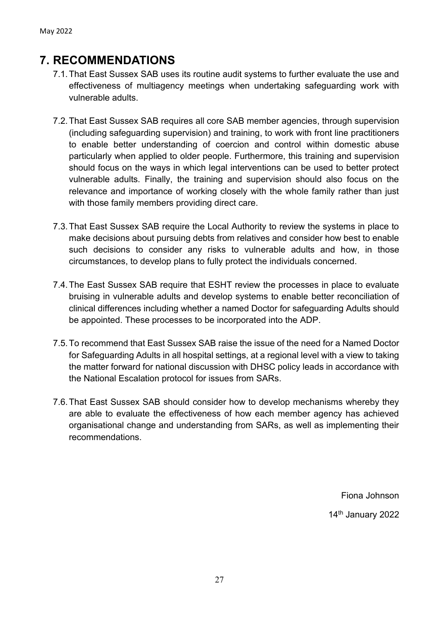## **7. RECOMMENDATIONS**

- 7.1.That East Sussex SAB uses its routine audit systems to further evaluate the use and effectiveness of multiagency meetings when undertaking safeguarding work with vulnerable adults.
- 7.2.That East Sussex SAB requires all core SAB member agencies, through supervision (including safeguarding supervision) and training, to work with front line practitioners to enable better understanding of coercion and control within domestic abuse particularly when applied to older people. Furthermore, this training and supervision should focus on the ways in which legal interventions can be used to better protect vulnerable adults. Finally, the training and supervision should also focus on the relevance and importance of working closely with the whole family rather than just with those family members providing direct care.
- 7.3.That East Sussex SAB require the Local Authority to review the systems in place to make decisions about pursuing debts from relatives and consider how best to enable such decisions to consider any risks to vulnerable adults and how, in those circumstances, to develop plans to fully protect the individuals concerned.
- 7.4.The East Sussex SAB require that ESHT review the processes in place to evaluate bruising in vulnerable adults and develop systems to enable better reconciliation of clinical differences including whether a named Doctor for safeguarding Adults should be appointed. These processes to be incorporated into the ADP.
- 7.5.To recommend that East Sussex SAB raise the issue of the need for a Named Doctor for Safeguarding Adults in all hospital settings, at a regional level with a view to taking the matter forward for national discussion with DHSC policy leads in accordance with the National Escalation protocol for issues from SARs.
- 7.6.That East Sussex SAB should consider how to develop mechanisms whereby they are able to evaluate the effectiveness of how each member agency has achieved organisational change and understanding from SARs, as well as implementing their recommendations.

Fiona Johnson 14th January 2022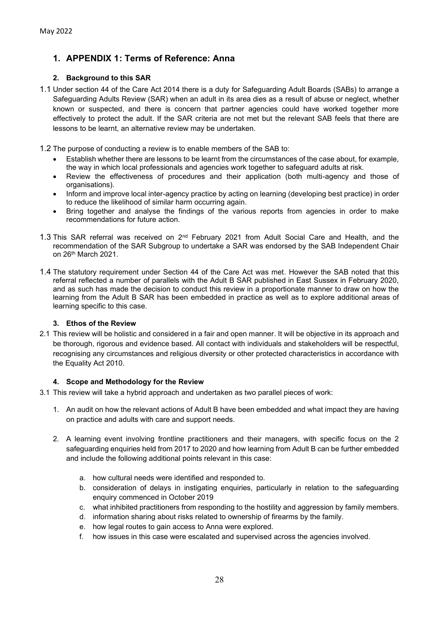#### **1. APPENDIX 1: Terms of Reference: Anna**

#### **2. Background to this SAR**

1.1 Under section 44 of the Care Act 2014 there is a duty for Safeguarding Adult Boards (SABs) to arrange a Safeguarding Adults Review (SAR) when an adult in its area dies as a result of abuse or neglect, whether known or suspected, and there is concern that partner agencies could have worked together more effectively to protect the adult. If the SAR criteria are not met but the relevant SAB feels that there are lessons to be learnt, an alternative review may be undertaken.

1.2 The purpose of conducting a review is to enable members of the SAB to:

- Establish whether there are lessons to be learnt from the circumstances of the case about, for example, the way in which local professionals and agencies work together to safeguard adults at risk.
- Review the effectiveness of procedures and their application (both multi-agency and those of organisations).
- Inform and improve local inter-agency practice by acting on learning (developing best practice) in order to reduce the likelihood of similar harm occurring again.
- Bring together and analyse the findings of the various reports from agencies in order to make recommendations for future action.
- 1.3 This SAR referral was received on 2<sup>nd</sup> February 2021 from Adult Social Care and Health, and the recommendation of the SAR Subgroup to undertake a SAR was endorsed by the SAB Independent Chair on 26th March 2021.
- 1.4 The statutory requirement under Section 44 of the Care Act was met. However the SAB noted that this referral reflected a number of parallels with the Adult B SAR published in East Sussex in February 2020, and as such has made the decision to conduct this review in a proportionate manner to draw on how the learning from the Adult B SAR has been embedded in practice as well as to explore additional areas of learning specific to this case.

#### **3. Ethos of the Review**

2.1 This review will be holistic and considered in a fair and open manner. It will be objective in its approach and be thorough, rigorous and evidence based. All contact with individuals and stakeholders will be respectful, recognising any circumstances and religious diversity or other protected characteristics in accordance with the Equality Act 2010.

#### **4. Scope and Methodology for the Review**

3.1 This review will take a hybrid approach and undertaken as two parallel pieces of work:

- 1. An audit on how the relevant actions of Adult B have been embedded and what impact they are having on practice and adults with care and support needs.
- 2. A learning event involving frontline practitioners and their managers, with specific focus on the 2 safeguarding enquiries held from 2017 to 2020 and how learning from Adult B can be further embedded and include the following additional points relevant in this case:
	- a. how cultural needs were identified and responded to.
	- b. consideration of delays in instigating enquiries, particularly in relation to the safeguarding enquiry commenced in October 2019
	- c. what inhibited practitioners from responding to the hostility and aggression by family members.
	- d. information sharing about risks related to ownership of firearms by the family.
	- e. how legal routes to gain access to Anna were explored.
	- f. how issues in this case were escalated and supervised across the agencies involved.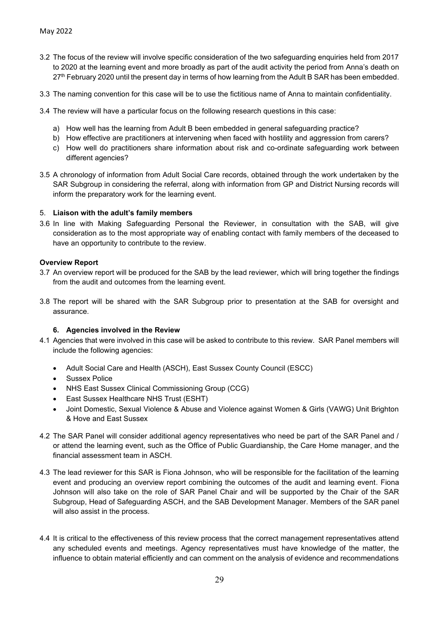- 3.2 The focus of the review will involve specific consideration of the two safeguarding enquiries held from 2017 to 2020 at the learning event and more broadly as part of the audit activity the period from Anna's death on 27<sup>th</sup> February 2020 until the present day in terms of how learning from the Adult B SAR has been embedded.
- 3.3 The naming convention for this case will be to use the fictitious name of Anna to maintain confidentiality.
- 3.4 The review will have a particular focus on the following research questions in this case:
	- a) How well has the learning from Adult B been embedded in general safeguarding practice?
	- b) How effective are practitioners at intervening when faced with hostility and aggression from carers?
	- c) How well do practitioners share information about risk and co-ordinate safeguarding work between different agencies?
- 3.5 A chronology of information from Adult Social Care records, obtained through the work undertaken by the SAR Subgroup in considering the referral, along with information from GP and District Nursing records will inform the preparatory work for the learning event.

#### 5. **Liaison with the adult's family members**

3.6 In line with Making Safeguarding Personal the Reviewer, in consultation with the SAB, will give consideration as to the most appropriate way of enabling contact with family members of the deceased to have an opportunity to contribute to the review.

#### **Overview Report**

- 3.7 An overview report will be produced for the SAB by the lead reviewer, which will bring together the findings from the audit and outcomes from the learning event.
- 3.8 The report will be shared with the SAR Subgroup prior to presentation at the SAB for oversight and assurance.

#### **6. Agencies involved in the Review**

- 4.1 Agencies that were involved in this case will be asked to contribute to this review. SAR Panel members will include the following agencies:
	- Adult Social Care and Health (ASCH), East Sussex County Council (ESCC)
	- Sussex Police
	- NHS East Sussex Clinical Commissioning Group (CCG)
	- East Sussex Healthcare NHS Trust (ESHT)
	- Joint Domestic, Sexual Violence & Abuse and Violence against Women & Girls (VAWG) Unit Brighton & Hove and East Sussex
- 4.2 The SAR Panel will consider additional agency representatives who need be part of the SAR Panel and / or attend the learning event, such as the Office of Public Guardianship, the Care Home manager, and the financial assessment team in ASCH.
- 4.3 The lead reviewer for this SAR is Fiona Johnson, who will be responsible for the facilitation of the learning event and producing an overview report combining the outcomes of the audit and learning event. Fiona Johnson will also take on the role of SAR Panel Chair and will be supported by the Chair of the SAR Subgroup, Head of Safeguarding ASCH, and the SAB Development Manager. Members of the SAR panel will also assist in the process.
- 4.4 It is critical to the effectiveness of this review process that the correct management representatives attend any scheduled events and meetings. Agency representatives must have knowledge of the matter, the influence to obtain material efficiently and can comment on the analysis of evidence and recommendations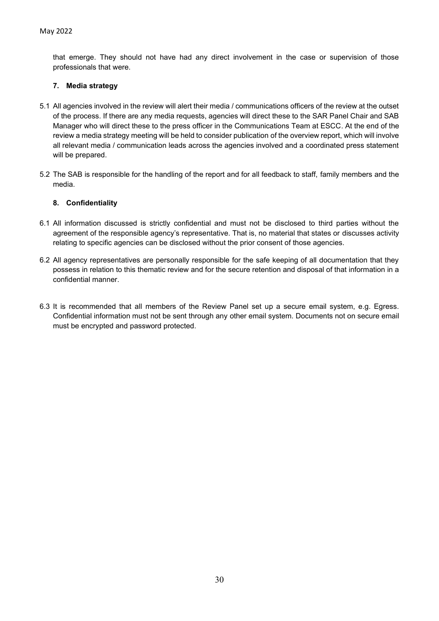that emerge. They should not have had any direct involvement in the case or supervision of those professionals that were.

#### **7. Media strategy**

- 5.1 All agencies involved in the review will alert their media / communications officers of the review at the outset of the process. If there are any media requests, agencies will direct these to the SAR Panel Chair and SAB Manager who will direct these to the press officer in the Communications Team at ESCC. At the end of the review a media strategy meeting will be held to consider publication of the overview report, which will involve all relevant media / communication leads across the agencies involved and a coordinated press statement will be prepared.
- 5.2 The SAB is responsible for the handling of the report and for all feedback to staff, family members and the media.

#### **8. Confidentiality**

- 6.1 All information discussed is strictly confidential and must not be disclosed to third parties without the agreement of the responsible agency's representative. That is, no material that states or discusses activity relating to specific agencies can be disclosed without the prior consent of those agencies.
- 6.2 All agency representatives are personally responsible for the safe keeping of all documentation that they possess in relation to this thematic review and for the secure retention and disposal of that information in a confidential manner.
- 6.3 It is recommended that all members of the Review Panel set up a secure email system, e.g. Egress. Confidential information must not be sent through any other email system. Documents not on secure email must be encrypted and password protected.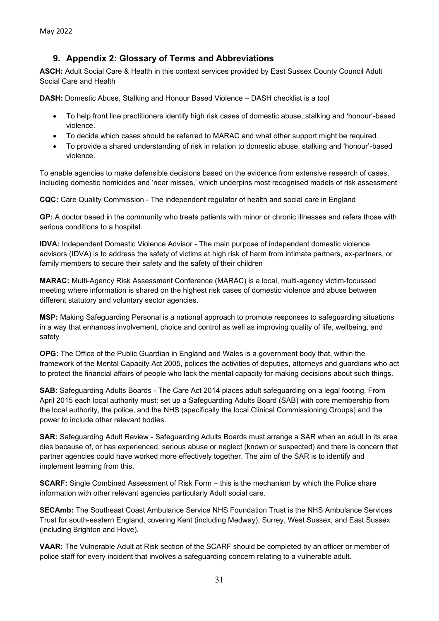#### **9. Appendix 2: Glossary of Terms and Abbreviations**

**ASCH:** Adult Social Care & Health in this context services provided by East Sussex County Council Adult Social Care and Health

**DASH:** Domestic Abuse, Stalking and Honour Based Violence – DASH checklist is a tool

- To help front line practitioners identify high risk cases of domestic abuse, stalking and 'honour'-based violence.
- To decide which cases should be referred to MARAC and what other support might be required.
- To provide a shared understanding of risk in relation to domestic abuse, stalking and 'honour'-based violence.

To enable agencies to make defensible decisions based on the evidence from extensive research of cases, including domestic homicides and 'near misses,' which underpins most recognised models of risk assessment

**CQC:** Care Quality Commission - The independent regulator of health and social care in England

**GP:** A doctor based in the community who treats patients with minor or chronic illnesses and refers those with serious conditions to a hospital.

**IDVA:** Independent Domestic Violence Advisor - The main purpose of independent domestic violence advisors (IDVA) is to address the safety of victims at high risk of harm from intimate partners, ex-partners, or family members to secure their safety and the safety of their children

**MARAC:** Multi-Agency Risk Assessment Conference (MARAC) is a local, multi-agency victim-focussed meeting where information is shared on the highest risk cases of domestic violence and abuse between different statutory and voluntary sector agencies.

**MSP:** Making Safeguarding Personal is a national approach to promote responses to safeguarding situations in a way that enhances involvement, choice and control as well as improving quality of life, wellbeing, and safety

**OPG:** The Office of the Public Guardian in England and Wales is a government body that, within the framework of the Mental Capacity Act 2005, polices the activities of deputies, attorneys and guardians who act to protect the financial affairs of people who lack the mental capacity for making decisions about such things.

**SAB:** Safeguarding Adults Boards - The Care Act 2014 places adult safeguarding on a legal footing. From April 2015 each local authority must: set up a Safeguarding Adults Board (SAB) with core membership from the local authority, the police, and the NHS (specifically the local Clinical Commissioning Groups) and the power to include other relevant bodies.

**SAR:** Safeguarding Adult Review - Safeguarding Adults Boards must arrange a SAR when an adult in its area dies because of, or has experienced, serious abuse or neglect (known or suspected) and there is concern that partner agencies could have worked more effectively together. The aim of the SAR is to identify and implement learning from this.

**SCARF:** Single Combined Assessment of Risk Form – this is the mechanism by which the Police share information with other relevant agencies particularly Adult social care.

**SECAmb:** The Southeast Coast Ambulance Service NHS Foundation Trust is the NHS Ambulance Services Trust for south-eastern England, covering Kent (including Medway), Surrey, West Sussex, and East Sussex (including Brighton and Hove).

**VAAR:** The Vulnerable Adult at Risk section of the SCARF should be completed by an officer or member of police staff for every incident that involves a safeguarding concern relating to a vulnerable adult.